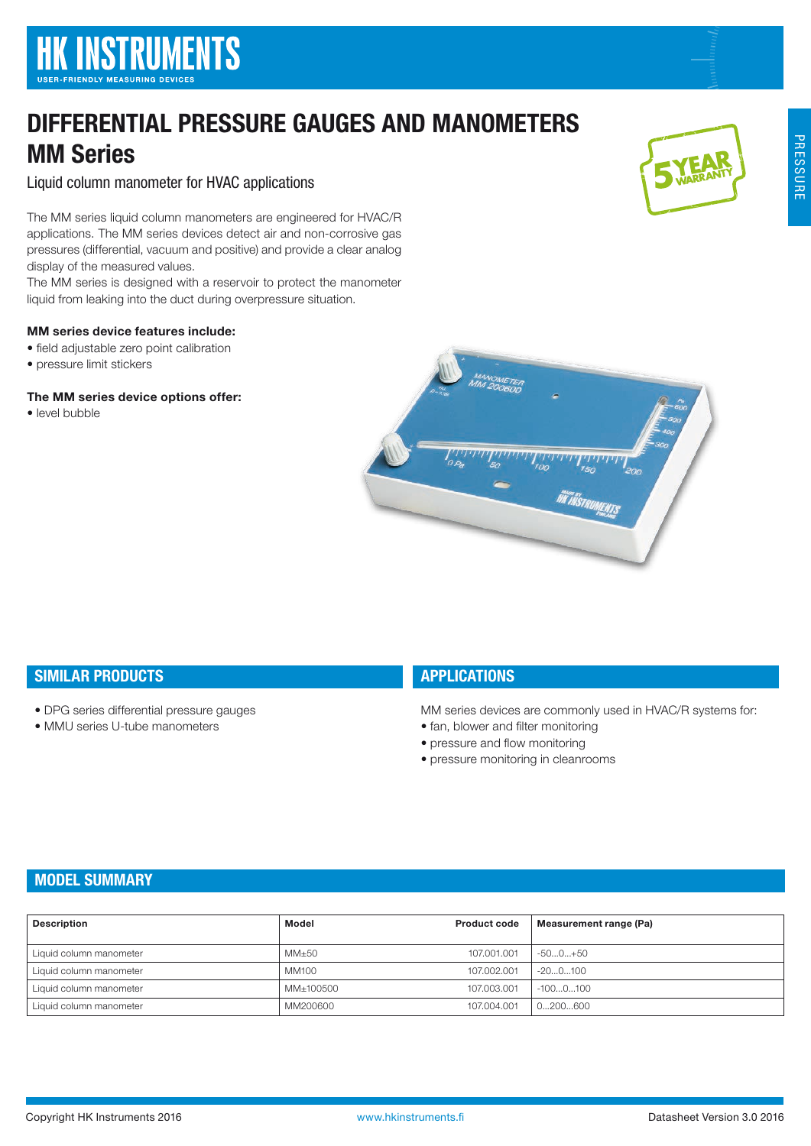# DIFFERENTIAL PRESSURE GAUGES AND MANOMETERS MM Series

Liquid column manometer for HVAC applications

The MM series liquid column manometers are engineered for HVAC/R applications. The MM series devices detect air and non-corrosive gas pressures (differential, vacuum and positive) and provide a clear analog display of the measured values.

The MM series is designed with a reservoir to protect the manometer liquid from leaking into the duct during overpressure situation.

## MM series device features include:

- field adjustable zero point calibration
- pressure limit stickers

## The MM series device options offer:

• level bubble





# SIMILAR PRODUCTS

- DPG series differential pressure gauges
- MMU series U-tube manometers

# **APPLICATIONS**

MM series devices are commonly used in HVAC/R systems for:

- fan, blower and filter monitoring
- pressure and flow monitoring
- pressure monitoring in cleanrooms

# MODEL SUMMARY

| <b>Description</b>      | Model     | <b>Product code</b> | Measurement range (Pa) |
|-------------------------|-----------|---------------------|------------------------|
|                         |           |                     |                        |
| Liquid column manometer | MM±50     | 107.001.001         | -500+50                |
| Liquid column manometer | MM100     | 107.002.001         | $-200100$              |
| Liquid column manometer | MM±100500 | 107.003.001         | $-1000100$             |
| Liquid column manometer | MM200600  | 107.004.001         | 0200600                |